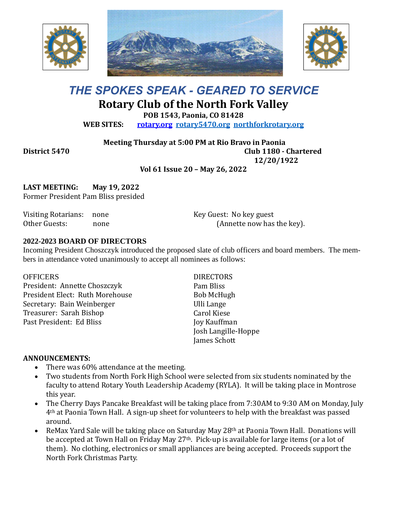





# *THE SPOKES SPEAK - GEARED TO SERVICE* **Rotary Club of the North Fork Valley**

**POB 1543, Paonia, CO 81428**

**WEB SITES: [rotary.org](http://www.rotary.org/) [rotary5470.org](http://rotary5470.org/) [northforkrotary.org](http://www.northforkrotary.org/)**

**Meeting Thursday at 5:00 PM at Rio Bravo in Paonia**

**District 5470 Club 1180 - Chartered** 

**12/20/1922**

**Vol 61 Issue 20 – May 26, 2022**

**LAST MEETING: May 19, 2022** Former President Pam Bliss presided

Visiting Rotarians: none Other Guests: none Key Guest: No key guest (Annette now has the key).

#### **2022-2023 BOARD OF DIRECTORS**

Incoming President Choszczyk introduced the proposed slate of club officers and board members. The members in attendance voted unanimously to accept all nominees as follows:

**OFFICERS** President: Annette Choszczyk President Elect: Ruth Morehouse Secretary: Bain Weinberger Treasurer: Sarah Bishop Past President: Ed Bliss

**DIRECTORS** Pam Bliss Bob McHugh Ulli Lange Carol Kiese Joy Kauffman Josh Langille-Hoppe James Schott

#### **ANNOUNCEMENTS:**

- There was 60% attendance at the meeting.
- Two students from North Fork High School were selected from six students nominated by the faculty to attend Rotary Youth Leadership Academy (RYLA). It will be taking place in Montrose this year.
- The Cherry Days Pancake Breakfast will be taking place from 7:30AM to 9:30 AM on Monday, July 4th at Paonia Town Hall. A sign-up sheet for volunteers to help with the breakfast was passed around.
- ReMax Yard Sale will be taking place on Saturday May 28<sup>th</sup> at Paonia Town Hall. Donations will be accepted at Town Hall on Friday May 27th. Pick-up is available for large items (or a lot of them). No clothing, electronics or small appliances are being accepted. Proceeds support the North Fork Christmas Party.